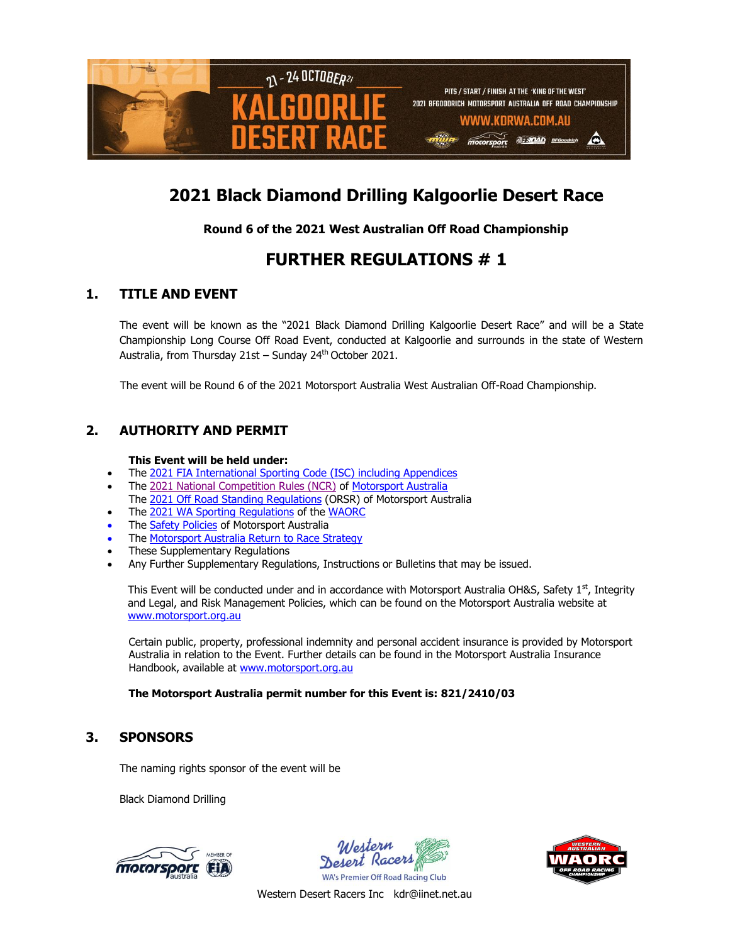

# **2021 Black Diamond Drilling Kalgoorlie Desert Race**

### **Round 6 of the 2021 West Australian Off Road Championship**

# **FURTHER REGULATIONS # 1**

# **1. TITLE AND EVENT**

The event will be known as the "2021 Black Diamond Drilling Kalgoorlie Desert Race" and will be a State Championship Long Course Off Road Event, conducted at Kalgoorlie and surrounds in the state of Western Australia, from Thursday 21st – Sunday 24<sup>th</sup> October 2021.

The event will be Round 6 of the 2021 Motorsport Australia West Australian Off-Road Championship.

# **2. AUTHORITY AND PERMIT**

#### **This Event will be held under:**

- The 2021 [FIA International Sporting Code \(ISC\)](http://www.fia.com/sport/regulations?f%5B0%5D=field_regulation_category%3A284) including Appendices
- The 2021 [National Competition Rules \(NCR\)](http://www.cams.com.au/motor-sport/regulations/cams-manual/ncr) of [Motorsport Australia](http://www.motorsport.org.au/) The 2021 [Off Road Standing Regulations](http://www.cams.com.au/motor-sport/regulations/cams-manual/off-road) (ORSR) of Motorsport Australia
- The 2021 [WA Sporting Regulations](http://www.cams.com.au/motor-sport/regulations/sporting-technical-regulations/state/western-australia) of the [WAORC](https://www.waorc.com/)
- The [Safety Policies](https://www.cams.com.au/motor-sport/safety-integrity) of Motorsport Australia
- The [Motorsport Australia Return to Race Strategy](https://www.motorsport.org.au/docs/default-source/covid19/motorsport-australia_return-to-race.pdf?sfvrsn=226dacc9_43)
- These Supplementary Regulations
- Any Further Supplementary Regulations, Instructions or Bulletins that may be issued.

This Event will be conducted under and in accordance with Motorsport Australia OH&S, Safety 1<sup>st</sup>, Integrity and Legal, and Risk Management Policies, which can be found on the Motorsport Australia website at [www.motorsport.org.au](http://www.motorsport.org.au/) 

Certain public, property, professional indemnity and personal accident insurance is provided by Motorsport Australia in relation to the Event. Further details can be found in the Motorsport Australia Insurance Handbook, available at [www.motorsport.org.au](http://www.motorsport.org.au/)

#### **The Motorsport Australia permit number for this Event is: 821/2410/03**

### **3. SPONSORS**

The naming rights sponsor of the event will be

Black Diamond Drilling





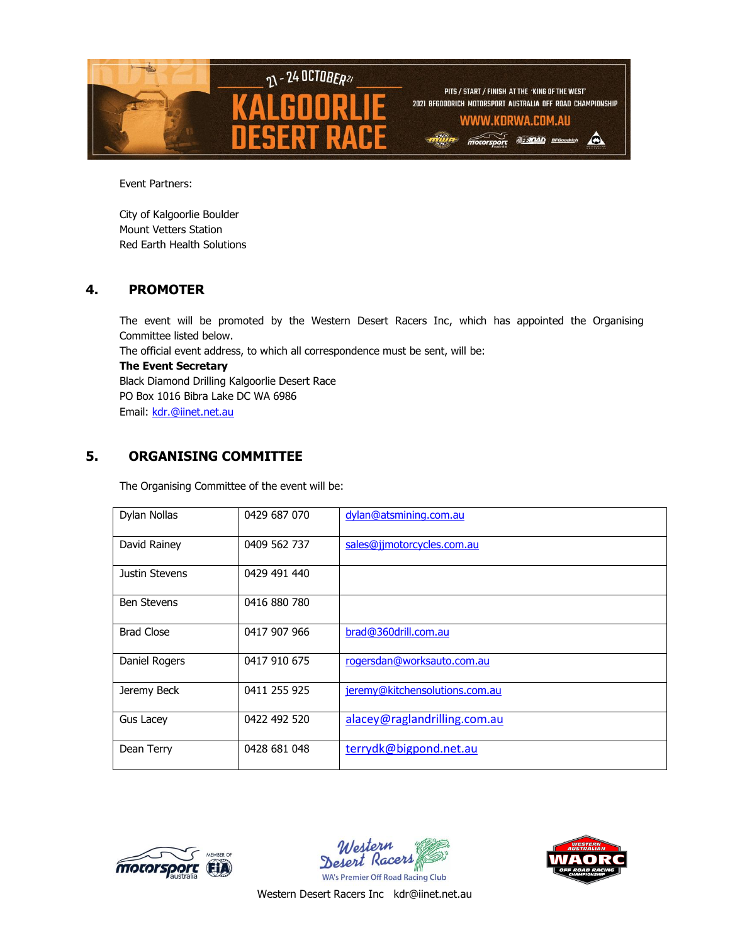

Event Partners:

City of Kalgoorlie Boulder Mount Vetters Station Red Earth Health Solutions

### **4. PROMOTER**

The event will be promoted by the Western Desert Racers Inc, which has appointed the Organising Committee listed below. The official event address, to which all correspondence must be sent, will be: **The Event Secretary** Black Diamond Drilling Kalgoorlie Desert Race PO Box 1016 Bibra Lake DC WA 6986

Email: [kdr.@iinet.net.au](mailto:kdr.@iinet.net.au)

# **5. ORGANISING COMMITTEE**

The Organising Committee of the event will be:

| Dylan Nollas       | 0429 687 070 | dylan@atsmining.com.au         |
|--------------------|--------------|--------------------------------|
| David Rainey       | 0409 562 737 | sales@jjmotorcycles.com.au     |
| Justin Stevens     | 0429 491 440 |                                |
| <b>Ben Stevens</b> | 0416 880 780 |                                |
| <b>Brad Close</b>  | 0417 907 966 | brad@360drill.com.au           |
| Daniel Rogers      | 0417 910 675 | rogersdan@worksauto.com.au     |
| Jeremy Beck        | 0411 255 925 | jeremy@kitchensolutions.com.au |
| Gus Lacey          | 0422 492 520 | alacey@raglandrilling.com.au   |
| Dean Terry         | 0428 681 048 | terrydk@bigpond.net.au         |





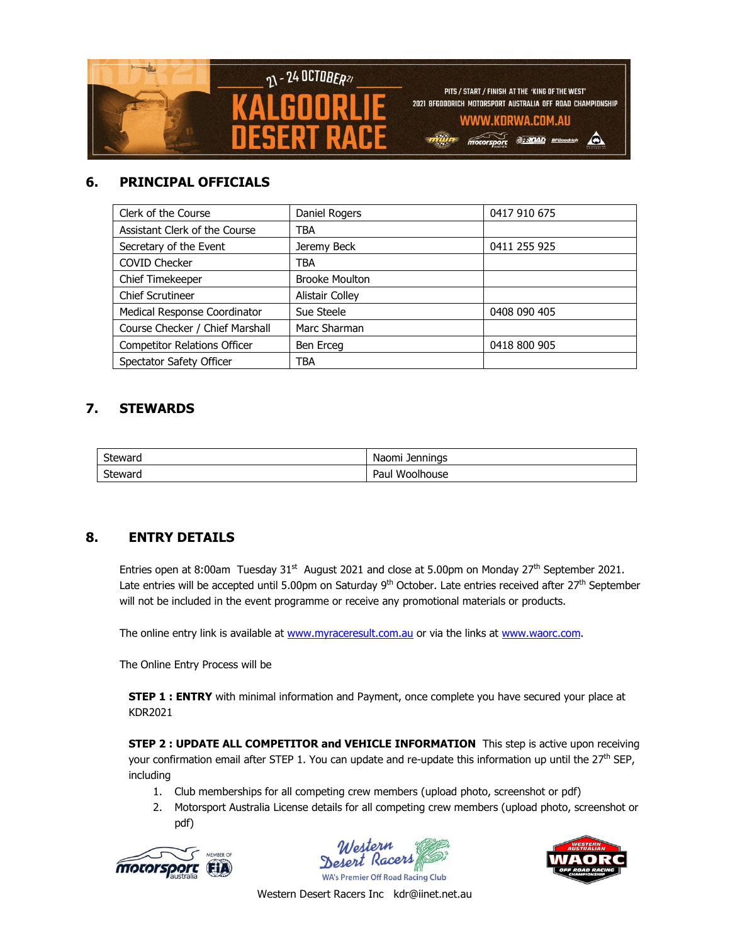

# **6. PRINCIPAL OFFICIALS**

| Clerk of the Course                 | Daniel Rogers         | 0417 910 675 |  |
|-------------------------------------|-----------------------|--------------|--|
| Assistant Clerk of the Course       | TBA                   |              |  |
| Secretary of the Event              | Jeremy Beck           | 0411 255 925 |  |
| <b>COVID Checker</b>                | TBA                   |              |  |
| Chief Timekeeper                    | <b>Brooke Moulton</b> |              |  |
| <b>Chief Scrutineer</b>             | Alistair Colley       |              |  |
| Medical Response Coordinator        | Sue Steele            | 0408 090 405 |  |
| Course Checker / Chief Marshall     | Marc Sharman          |              |  |
| <b>Competitor Relations Officer</b> | Ben Erceg             | 0418 800 905 |  |
| Spectator Safety Officer            | TBA                   |              |  |

# **7. STEWARDS**

| Steward | Naomi<br><b>Jennings</b> |
|---------|--------------------------|
| Steward | -<br>Woolhouse<br>Paul   |

# **8. ENTRY DETAILS**

Entries open at 8:00am Tuesday  $31<sup>st</sup>$  August 2021 and close at 5.00pm on Monday  $27<sup>th</sup>$  September 2021. Late entries will be accepted until 5.00pm on Saturday 9<sup>th</sup> October. Late entries received after 27<sup>th</sup> September will not be included in the event programme or receive any promotional materials or products.

The online entry link is available at [www.myraceresult.com.au](http://www.myraceresult.com.au/) or via the links at [www.waorc.com.](http://www.waorc.com/)

The Online Entry Process will be

**STEP 1 : ENTRY** with minimal information and Payment, once complete you have secured your place at KDR2021

**STEP 2 : UPDATE ALL COMPETITOR and VEHICLE INFORMATION** This step is active upon receiving your confirmation email after STEP 1. You can update and re-update this information up until the 27<sup>th</sup> SEP, including

- 1. Club memberships for all competing crew members (upload photo, screenshot or pdf)
- 2. Motorsport Australia License details for all competing crew members (upload photo, screenshot or pdf)





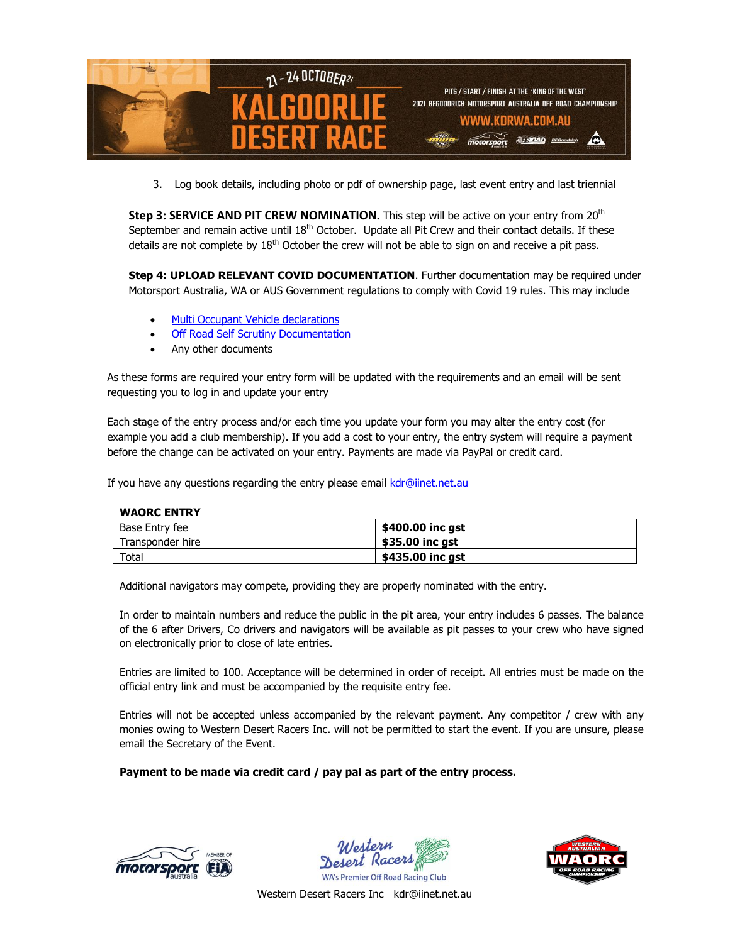

3. Log book details, including photo or pdf of ownership page, last event entry and last triennial

**Step 3: SERVICE AND PIT CREW NOMINATION.** This step will be active on your entry from 20<sup>th</sup> September and remain active until  $18<sup>th</sup>$  October. Update all Pit Crew and their contact details. If these details are not complete by  $18<sup>th</sup>$  October the crew will not be able to sign on and receive a pit pass.

**Step 4: UPLOAD RELEVANT COVID DOCUMENTATION**. Further documentation may be required under Motorsport Australia, WA or AUS Government regulations to comply with Covid 19 rules. This may include

- Multi Occupant [Vehicle declarations](https://motorsport.org.au/docs/default-source/covid19/scrutiny/motorsport-australia_covid-19_dual-occupant-vehicle_declaration6ab50d938ca14fb7bcccf6651d06ce06.pdf?sfvrsn=bb84a8f1_12)
- **[Off Road Self Scrutiny Documentation](https://motorsport.org.au/docs/default-source/covid19/scrutiny/motorsport-australia_self-scrutiny-checklist_off-road.pdf?sfvrsn=42b1db6f_11)**
- Any other documents

As these forms are required your entry form will be updated with the requirements and an email will be sent requesting you to log in and update your entry

Each stage of the entry process and/or each time you update your form you may alter the entry cost (for example you add a club membership). If you add a cost to your entry, the entry system will require a payment before the change can be activated on your entry. Payments are made via PayPal or credit card.

If you have any questions regarding the entry please email [kdr@iinet.net.au](mailto:kdr@iinet.net.au)

#### **WAORC ENTRY**

| Base Entry fee   | \$400.00 inc ast |
|------------------|------------------|
| Transponder hire | \$35.00 inc gst  |
| $\tau$ otal      | \$435.00 inc gst |

Additional navigators may compete, providing they are properly nominated with the entry.

In order to maintain numbers and reduce the public in the pit area, your entry includes 6 passes. The balance of the 6 after Drivers, Co drivers and navigators will be available as pit passes to your crew who have signed on electronically prior to close of late entries.

Entries are limited to 100. Acceptance will be determined in order of receipt. All entries must be made on the official entry link and must be accompanied by the requisite entry fee.

Entries will not be accepted unless accompanied by the relevant payment. Any competitor / crew with any monies owing to Western Desert Racers Inc. will not be permitted to start the event. If you are unsure, please email the Secretary of the Event.

#### **Payment to be made via credit card / pay pal as part of the entry process.**





**WA's Premier Off Road Racing Club** 

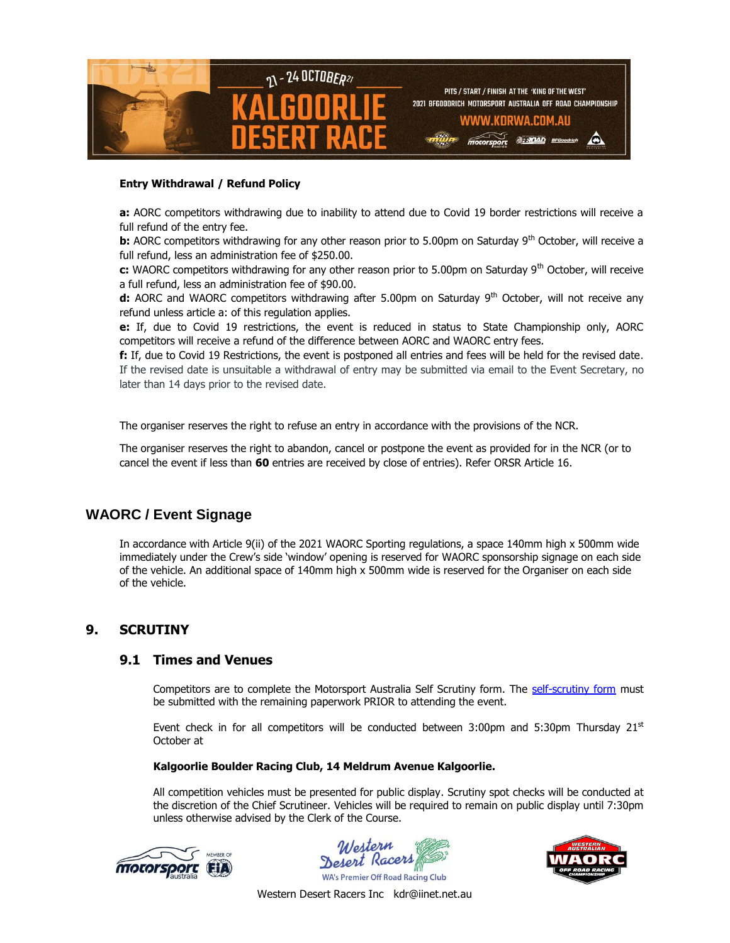

#### **Entry Withdrawal / Refund Policy**

**a:** AORC competitors withdrawing due to inability to attend due to Covid 19 border restrictions will receive a full refund of the entry fee.

**b:** AORC competitors withdrawing for any other reason prior to 5.00pm on Saturday 9<sup>th</sup> October, will receive a full refund, less an administration fee of \$250.00.

**c:** WAORC competitors withdrawing for any other reason prior to 5.00pm on Saturday 9th October, will receive a full refund, less an administration fee of \$90.00.

**d:** AORC and WAORC competitors withdrawing after 5.00pm on Saturday 9<sup>th</sup> October, will not receive any refund unless article a: of this regulation applies.

**e:** If, due to Covid 19 restrictions, the event is reduced in status to State Championship only, AORC competitors will receive a refund of the difference between AORC and WAORC entry fees.

**f:** If, due to Covid 19 Restrictions, the event is postponed all entries and fees will be held for the revised date. If the revised date is unsuitable a withdrawal of entry may be submitted via email to the Event Secretary, no later than 14 days prior to the revised date.

The organiser reserves the right to refuse an entry in accordance with the provisions of the NCR.

The organiser reserves the right to abandon, cancel or postpone the event as provided for in the NCR (or to cancel the event if less than **60** entries are received by close of entries). Refer ORSR Article 16.

### **WAORC / Event Signage**

In accordance with Article 9(ii) of the 2021 WAORC Sporting regulations, a space 140mm high x 500mm wide immediately under the Crew's side 'window' opening is reserved for WAORC sponsorship signage on each side of the vehicle. An additional space of 140mm high x 500mm wide is reserved for the Organiser on each side of the vehicle.

### **9. SCRUTINY**

#### **9.1 Times and Venues**

Competitors are to complete the Motorsport Australia Self Scrutiny form. The [self-scrutiny form](https://motorsport.org.au/docs/default-source/covid19/scrutiny/motorsport-australia_self-scrutiny-checklist_off-road.pdf?sfvrsn=42b1db6f_9) must be submitted with the remaining paperwork PRIOR to attending the event.

Event check in for all competitors will be conducted between  $3:00 \text{pm}$  and  $5:30 \text{pm}$  Thursday  $21^{st}$ October at

#### **Kalgoorlie Boulder Racing Club, 14 Meldrum Avenue Kalgoorlie.**

All competition vehicles must be presented for public display. Scrutiny spot checks will be conducted at the discretion of the Chief Scrutineer. Vehicles will be required to remain on public display until 7:30pm unless otherwise advised by the Clerk of the Course.





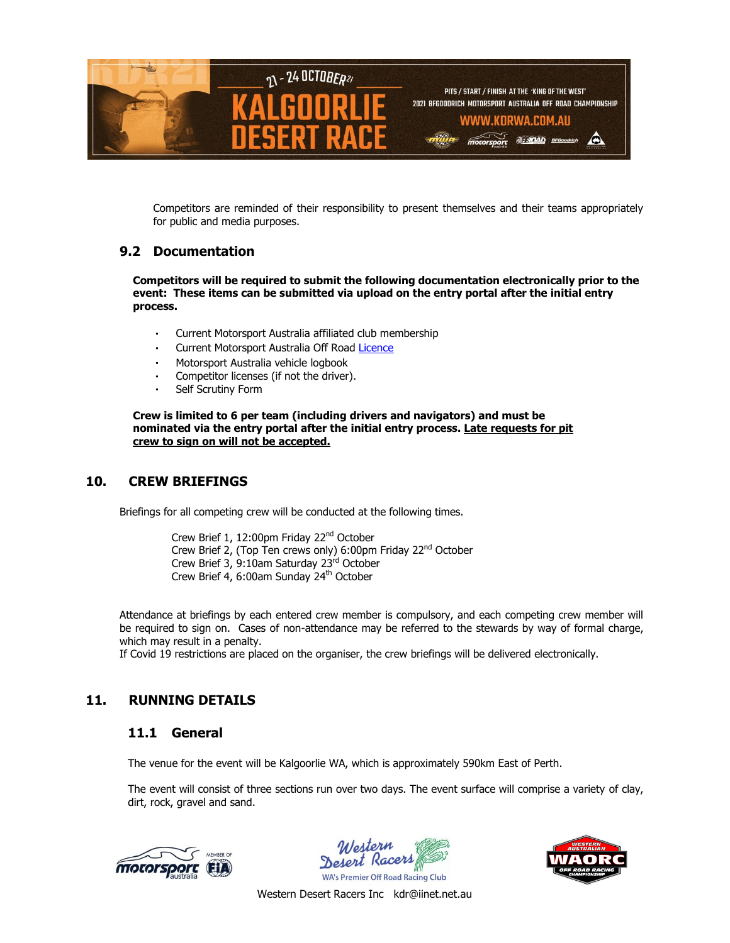

Competitors are reminded of their responsibility to present themselves and their teams appropriately for public and media purposes.

#### **9.2 Documentation**

**Competitors will be required to submit the following documentation electronically prior to the event: These items can be submitted via upload on the entry portal after the initial entry process.**

- Current Motorsport Australia affiliated club membership
- Current Motorsport Australia Off Road [Licence](https://www.motorsport.org.au/docs/default-source/licence-forms/2021/competition-licence-renewal.pdf)
- Motorsport Australia vehicle logbook
- Competitor licenses (if not the driver).
- Self Scrutiny Form

**Crew is limited to 6 per team (including drivers and navigators) and must be nominated via the entry portal after the initial entry process. Late requests for pit crew to sign on will not be accepted.**

### **10. CREW BRIEFINGS**

Briefings for all competing crew will be conducted at the following times.

Crew Brief 1, 12:00pm Friday 22<sup>nd</sup> October Crew Brief 2, (Top Ten crews only) 6:00pm Friday 22<sup>nd</sup> October Crew Brief 3, 9:10am Saturday 23<sup>rd</sup> October Crew Brief 4, 6:00am Sunday 24<sup>th</sup> October

Attendance at briefings by each entered crew member is compulsory, and each competing crew member will be required to sign on. Cases of non-attendance may be referred to the stewards by way of formal charge, which may result in a penalty.

If Covid 19 restrictions are placed on the organiser, the crew briefings will be delivered electronically.

### **11. RUNNING DETAILS**

#### **11.1 General**

The venue for the event will be Kalgoorlie WA, which is approximately 590km East of Perth.

The event will consist of three sections run over two days. The event surface will comprise a variety of clay, dirt, rock, gravel and sand.







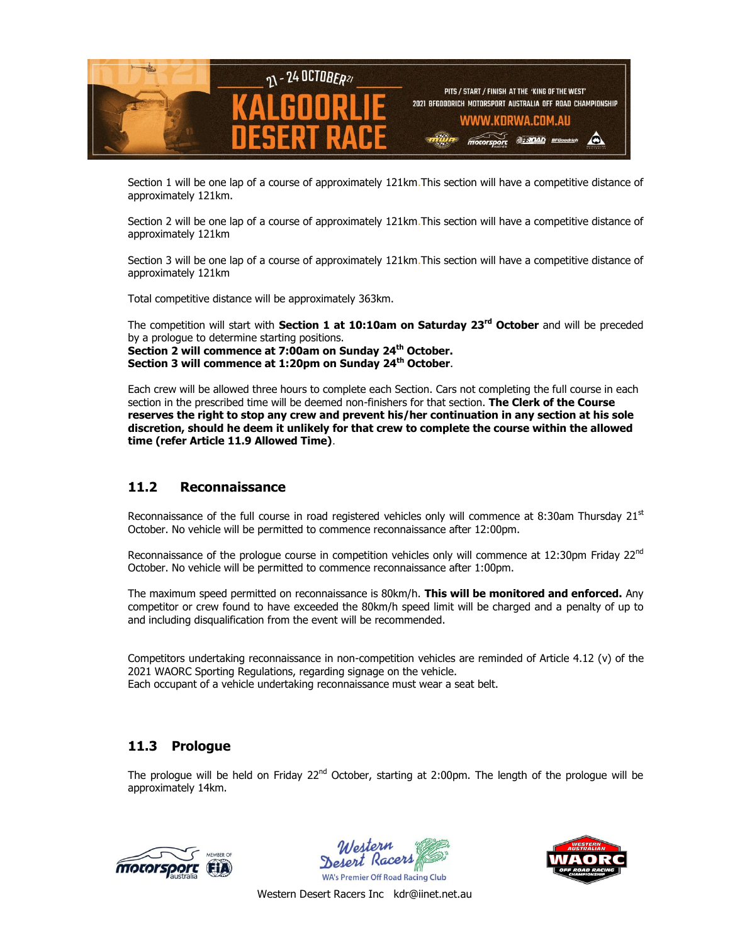

Section 1 will be one lap of a course of approximately 121km.This section will have a competitive distance of approximately 121km.

Section 2 will be one lap of a course of approximately 121km.This section will have a competitive distance of approximately 121km

Section 3 will be one lap of a course of approximately 121km.This section will have a competitive distance of approximately 121km

Total competitive distance will be approximately 363km.

The competition will start with **Section 1 at 10:10am on Saturday 23rd October** and will be preceded by a prologue to determine starting positions. **Section 2 will commence at 7:00am on Sunday 24th October. Section 3 will commence at 1:20pm on Sunday 24th October**.

Each crew will be allowed three hours to complete each Section. Cars not completing the full course in each section in the prescribed time will be deemed non-finishers for that section. **The Clerk of the Course reserves the right to stop any crew and prevent his/her continuation in any section at his sole discretion, should he deem it unlikely for that crew to complete the course within the allowed time (refer Article 11.9 Allowed Time)**.

### **11.2 Reconnaissance**

Reconnaissance of the full course in road registered vehicles only will commence at 8:30am Thursday  $21<sup>st</sup>$ October. No vehicle will be permitted to commence reconnaissance after 12:00pm.

Reconnaissance of the prologue course in competition vehicles only will commence at 12:30pm Friday 22<sup>nd</sup> October. No vehicle will be permitted to commence reconnaissance after 1:00pm.

The maximum speed permitted on reconnaissance is 80km/h. **This will be monitored and enforced.** Any competitor or crew found to have exceeded the 80km/h speed limit will be charged and a penalty of up to and including disqualification from the event will be recommended.

Competitors undertaking reconnaissance in non-competition vehicles are reminded of Article 4.12 (v) of the 2021 WAORC Sporting Regulations, regarding signage on the vehicle. Each occupant of a vehicle undertaking reconnaissance must wear a seat belt.

### **11.3 Prologue**

The prologue will be held on Friday  $22<sup>nd</sup>$  October, starting at 2:00pm. The length of the prologue will be approximately 14km.





**WA's Premier Off Road Racing Club** 

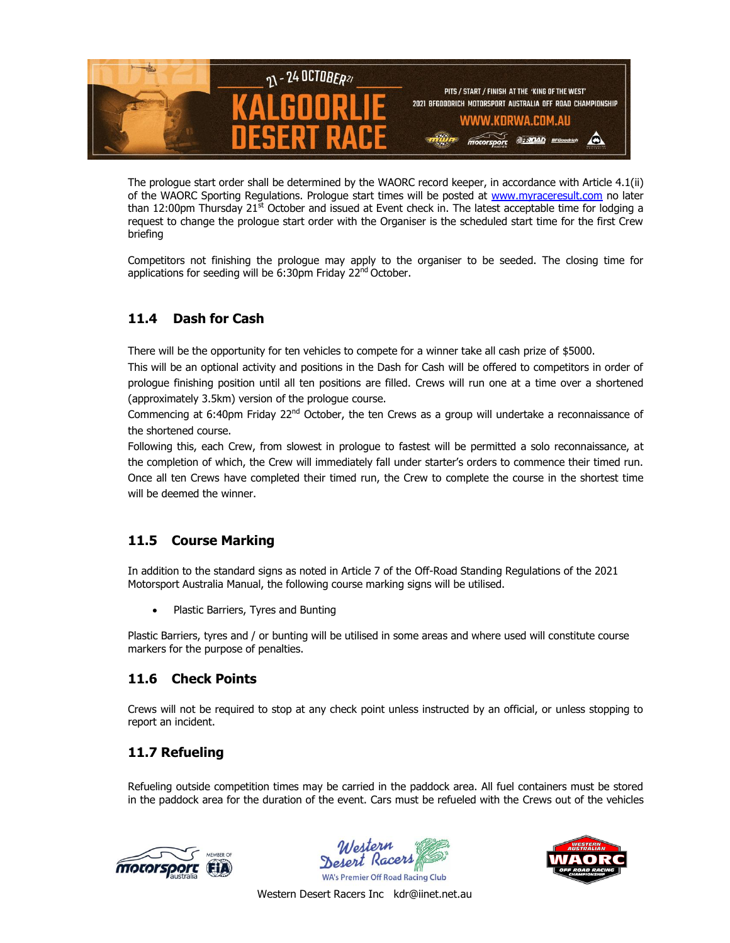

The prologue start order shall be determined by the WAORC record keeper, in accordance with Article 4.1(ii) of the WAORC Sporting Regulations. Prologue start times will be posted at [www.myraceresult.com](http://www.myraceresult.com/) no later than 12:00pm Thursday  $21<sup>st</sup>$  October and issued at Event check in. The latest acceptable time for lodging a request to change the prologue start order with the Organiser is the scheduled start time for the first Crew briefing

Competitors not finishing the prologue may apply to the organiser to be seeded. The closing time for applications for seeding will be 6:30pm Friday 22<sup>nd</sup> October.

# **11.4 Dash for Cash**

There will be the opportunity for ten vehicles to compete for a winner take all cash prize of \$5000.

This will be an optional activity and positions in the Dash for Cash will be offered to competitors in order of prologue finishing position until all ten positions are filled. Crews will run one at a time over a shortened (approximately 3.5km) version of the prologue course.

Commencing at 6:40pm Friday 22<sup>nd</sup> October, the ten Crews as a group will undertake a reconnaissance of the shortened course.

Following this, each Crew, from slowest in prologue to fastest will be permitted a solo reconnaissance, at the completion of which, the Crew will immediately fall under starter's orders to commence their timed run. Once all ten Crews have completed their timed run, the Crew to complete the course in the shortest time will be deemed the winner.

# **11.5 Course Marking**

In addition to the standard signs as noted in Article 7 of the Off-Road Standing Regulations of the 2021 Motorsport Australia Manual, the following course marking signs will be utilised.

Plastic Barriers, Tyres and Bunting

Plastic Barriers, tyres and / or bunting will be utilised in some areas and where used will constitute course markers for the purpose of penalties.

# **11.6 Check Points**

Crews will not be required to stop at any check point unless instructed by an official, or unless stopping to report an incident.

# **11.7 Refueling**

Refueling outside competition times may be carried in the paddock area. All fuel containers must be stored in the paddock area for the duration of the event. Cars must be refueled with the Crews out of the vehicles





**WA's Premier Off Road Racing Club** 

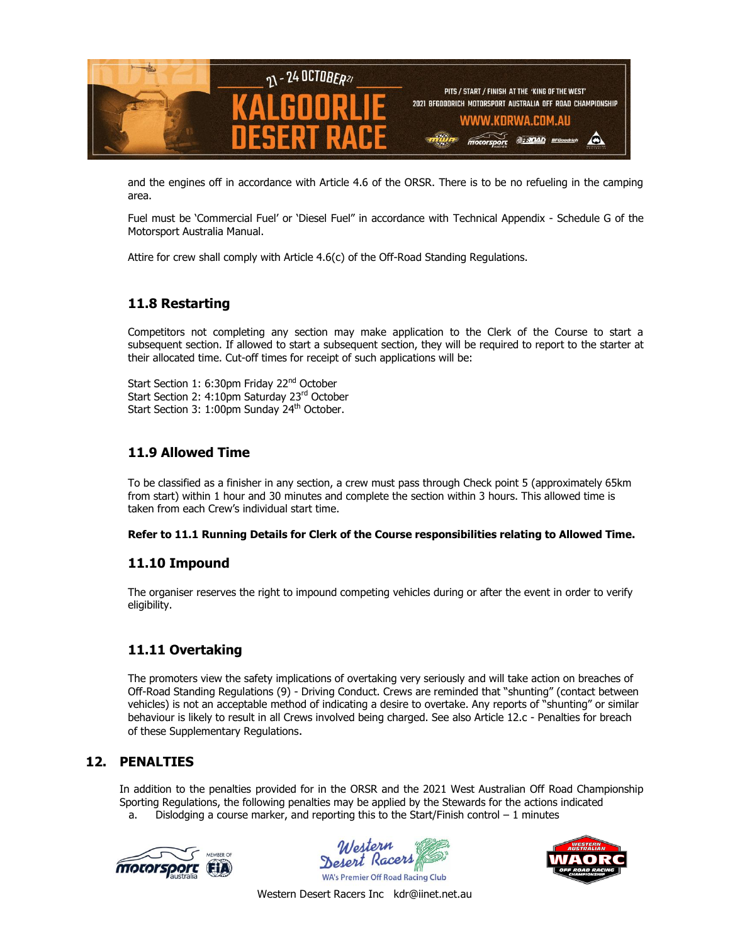

and the engines off in accordance with Article 4.6 of the ORSR. There is to be no refueling in the camping area.

Fuel must be 'Commercial Fuel' or 'Diesel Fuel" in accordance with Technical Appendix - Schedule G of the Motorsport Australia Manual.

Attire for crew shall comply with Article 4.6(c) of the Off-Road Standing Regulations.

# **11.8 Restarting**

Competitors not completing any section may make application to the Clerk of the Course to start a subsequent section. If allowed to start a subsequent section, they will be required to report to the starter at their allocated time. Cut-off times for receipt of such applications will be:

Start Section 1: 6:30pm Friday 22<sup>nd</sup> October Start Section 2: 4:10pm Saturday 23rd October Start Section 3: 1:00pm Sunday 24<sup>th</sup> October.

# **11.9 Allowed Time**

To be classified as a finisher in any section, a crew must pass through Check point 5 (approximately 65km from start) within 1 hour and 30 minutes and complete the section within 3 hours. This allowed time is taken from each Crew's individual start time.

**Refer to 11.1 Running Details for Clerk of the Course responsibilities relating to Allowed Time.** 

# **11.10 Impound**

The organiser reserves the right to impound competing vehicles during or after the event in order to verify eligibility.

# **11.11 Overtaking**

The promoters view the safety implications of overtaking very seriously and will take action on breaches of Off-Road Standing Regulations (9) - Driving Conduct. Crews are reminded that "shunting" (contact between vehicles) is not an acceptable method of indicating a desire to overtake. Any reports of "shunting" or similar behaviour is likely to result in all Crews involved being charged. See also Article 12.c - Penalties for breach of these Supplementary Regulations.

### **12. PENALTIES**

In addition to the penalties provided for in the ORSR and the 2021 West Australian Off Road Championship Sporting Regulations, the following penalties may be applied by the Stewards for the actions indicated

a. Dislodging a course marker, and reporting this to the Start/Finish control  $-1$  minutes



Montern **Depart Racers WA's Premier Off Road Racing Club** 

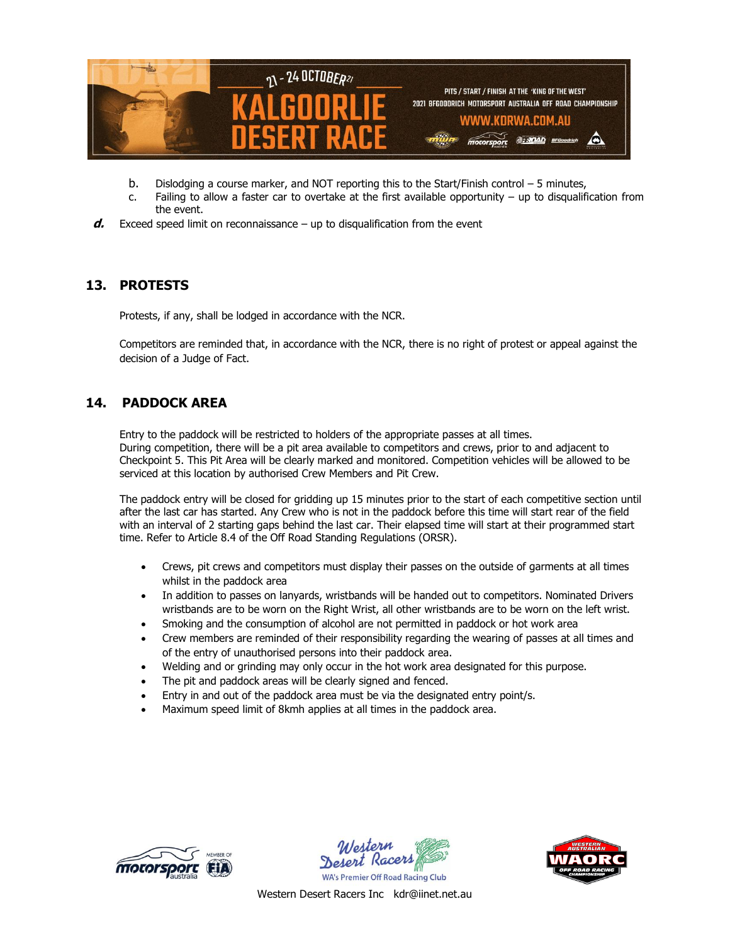

- b. Dislodging a course marker, and NOT reporting this to the Start/Finish control 5 minutes,
- c. Failing to allow a faster car to overtake at the first available opportunity up to disqualification from the event.
- **d.** Exceed speed limit on reconnaissance up to disqualification from the event

# **13. PROTESTS**

Protests, if any, shall be lodged in accordance with the NCR.

Competitors are reminded that, in accordance with the NCR, there is no right of protest or appeal against the decision of a Judge of Fact.

# **14. PADDOCK AREA**

Entry to the paddock will be restricted to holders of the appropriate passes at all times. During competition, there will be a pit area available to competitors and crews, prior to and adjacent to Checkpoint 5. This Pit Area will be clearly marked and monitored. Competition vehicles will be allowed to be serviced at this location by authorised Crew Members and Pit Crew.

The paddock entry will be closed for gridding up 15 minutes prior to the start of each competitive section until after the last car has started. Any Crew who is not in the paddock before this time will start rear of the field with an interval of 2 starting gaps behind the last car. Their elapsed time will start at their programmed start time. Refer to Article 8.4 of the Off Road Standing Regulations (ORSR).

- Crews, pit crews and competitors must display their passes on the outside of garments at all times whilst in the paddock area
- In addition to passes on lanyards, wristbands will be handed out to competitors. Nominated Drivers wristbands are to be worn on the Right Wrist, all other wristbands are to be worn on the left wrist.
- Smoking and the consumption of alcohol are not permitted in paddock or hot work area
- Crew members are reminded of their responsibility regarding the wearing of passes at all times and of the entry of unauthorised persons into their paddock area.
- Welding and or grinding may only occur in the hot work area designated for this purpose.
- The pit and paddock areas will be clearly signed and fenced.
- Entry in and out of the paddock area must be via the designated entry point/s.
- Maximum speed limit of 8kmh applies at all times in the paddock area.





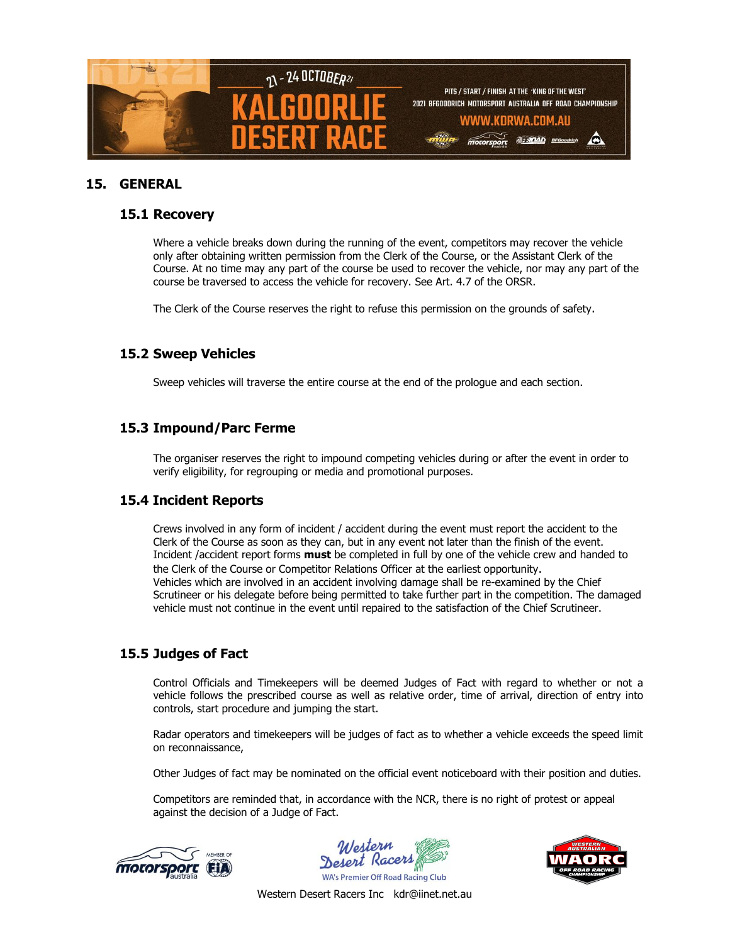

### **15. GENERAL**

#### **15.1 Recovery**

Where a vehicle breaks down during the running of the event, competitors may recover the vehicle only after obtaining written permission from the Clerk of the Course, or the Assistant Clerk of the Course. At no time may any part of the course be used to recover the vehicle, nor may any part of the course be traversed to access the vehicle for recovery. See Art. 4.7 of the ORSR.

The Clerk of the Course reserves the right to refuse this permission on the grounds of safety.

### **15.2 Sweep Vehicles**

Sweep vehicles will traverse the entire course at the end of the prologue and each section.

### **15.3 Impound/Parc Ferme**

The organiser reserves the right to impound competing vehicles during or after the event in order to verify eligibility, for regrouping or media and promotional purposes.

### **15.4 Incident Reports**

Crews involved in any form of incident / accident during the event must report the accident to the Clerk of the Course as soon as they can, but in any event not later than the finish of the event. Incident /accident report forms **must** be completed in full by one of the vehicle crew and handed to the Clerk of the Course or Competitor Relations Officer at the earliest opportunity. Vehicles which are involved in an accident involving damage shall be re-examined by the Chief Scrutineer or his delegate before being permitted to take further part in the competition. The damaged vehicle must not continue in the event until repaired to the satisfaction of the Chief Scrutineer.

### **15.5 Judges of Fact**

Control Officials and Timekeepers will be deemed Judges of Fact with regard to whether or not a vehicle follows the prescribed course as well as relative order, time of arrival, direction of entry into controls, start procedure and jumping the start.

Radar operators and timekeepers will be judges of fact as to whether a vehicle exceeds the speed limit on reconnaissance,

Other Judges of fact may be nominated on the official event noticeboard with their position and duties.

Competitors are reminded that, in accordance with the NCR, there is no right of protest or appeal against the decision of a Judge of Fact.



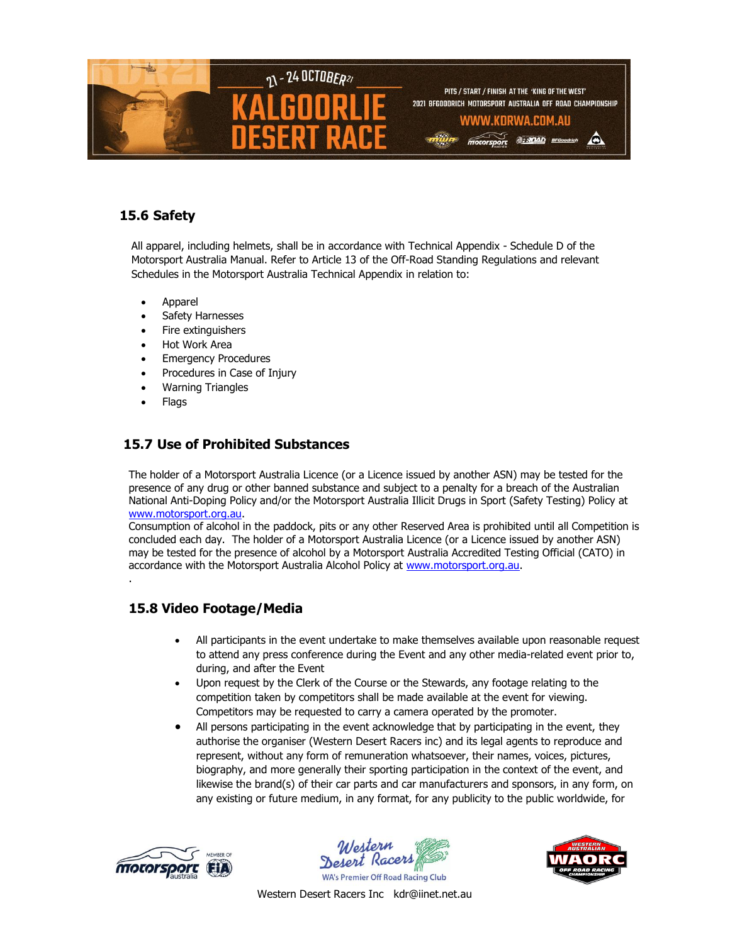

# **15.6 Safety**

All apparel, including helmets, shall be in accordance with Technical Appendix - Schedule D of the Motorsport Australia Manual. Refer to Article 13 of the Off-Road Standing Regulations and relevant Schedules in the Motorsport Australia Technical Appendix in relation to:

- Apparel
- Safety Harnesses
- Fire extinguishers
- Hot Work Area
- Emergency Procedures
- Procedures in Case of Injury
- Warning Triangles
- **Flags**

.

# **15.7 Use of Prohibited Substances**

The holder of a Motorsport Australia Licence (or a Licence issued by another ASN) may be tested for the presence of any drug or other banned substance and subject to a penalty for a breach of the Australian National Anti-Doping Policy and/or the Motorsport Australia Illicit Drugs in Sport (Safety Testing) Policy at [www.motorsport.org.au.](http://www.motorsport.org.au/)

Consumption of alcohol in the paddock, pits or any other Reserved Area is prohibited until all Competition is concluded each day. The holder of a Motorsport Australia Licence (or a Licence issued by another ASN) may be tested for the presence of alcohol by a Motorsport Australia Accredited Testing Official (CATO) in accordance with the Motorsport Australia Alcohol Policy at [www.motorsport.org.au.](http://www.motorsport.org.au/)

# **15.8 Video Footage/Media**

- All participants in the event undertake to make themselves available upon reasonable request to attend any press conference during the Event and any other media-related event prior to, during, and after the Event
- Upon request by the Clerk of the Course or the Stewards, any footage relating to the competition taken by competitors shall be made available at the event for viewing. Competitors may be requested to carry a camera operated by the promoter.
- All persons participating in the event acknowledge that by participating in the event, they authorise the organiser (Western Desert Racers inc) and its legal agents to reproduce and represent, without any form of remuneration whatsoever, their names, voices, pictures, biography, and more generally their sporting participation in the context of the event, and likewise the brand(s) of their car parts and car manufacturers and sponsors, in any form, on any existing or future medium, in any format, for any publicity to the public worldwide, for





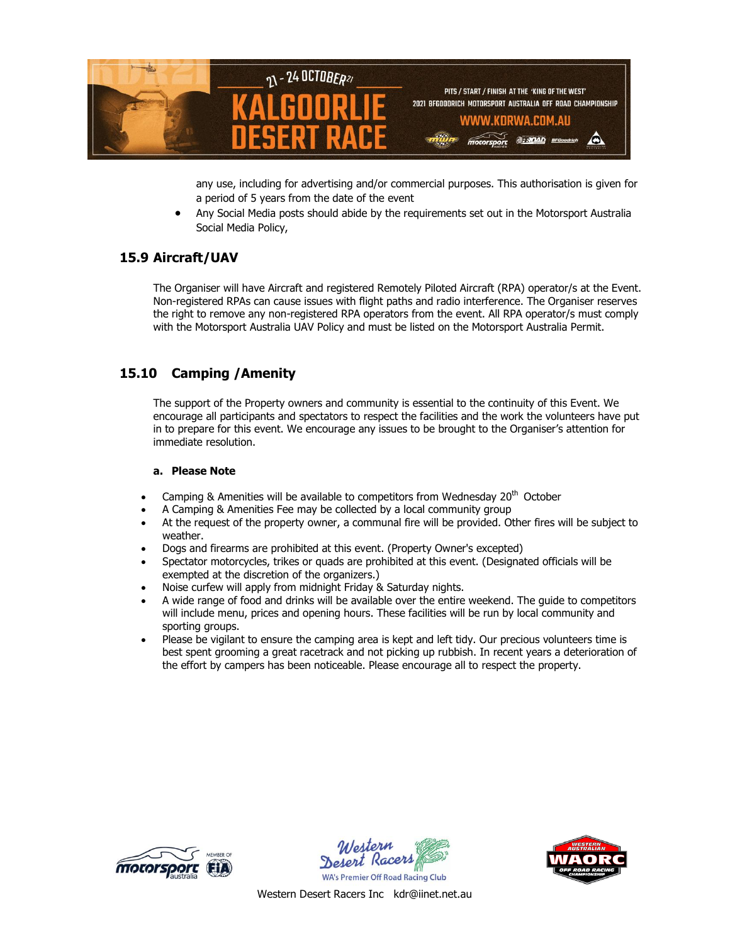

any use, including for advertising and/or commercial purposes. This authorisation is given for a period of 5 years from the date of the event

 Any Social Media posts should abide by the requirements set out in the Motorsport Australia Social Media Policy,

# **15.9 Aircraft/UAV**

The Organiser will have Aircraft and registered Remotely Piloted Aircraft (RPA) operator/s at the Event. Non-registered RPAs can cause issues with flight paths and radio interference. The Organiser reserves the right to remove any non-registered RPA operators from the event. All RPA operator/s must comply with the Motorsport Australia UAV Policy and must be listed on the Motorsport Australia Permit.

# **15.10 Camping /Amenity**

The support of the Property owners and community is essential to the continuity of this Event. We encourage all participants and spectators to respect the facilities and the work the volunteers have put in to prepare for this event. We encourage any issues to be brought to the Organiser's attention for immediate resolution.

#### **a. Please Note**

- Camping & Amenities will be available to competitors from Wednesday  $20<sup>th</sup>$  October
- A Camping & Amenities Fee may be collected by a local community group
- At the request of the property owner, a communal fire will be provided. Other fires will be subject to weather.
- Dogs and firearms are prohibited at this event. (Property Owner's excepted)
- Spectator motorcycles, trikes or quads are prohibited at this event. (Designated officials will be exempted at the discretion of the organizers.)
- Noise curfew will apply from midnight Friday & Saturday nights.
- A wide range of food and drinks will be available over the entire weekend. The guide to competitors will include menu, prices and opening hours. These facilities will be run by local community and sporting groups.
- Please be vigilant to ensure the camping area is kept and left tidy. Our precious volunteers time is best spent grooming a great racetrack and not picking up rubbish. In recent years a deterioration of the effort by campers has been noticeable. Please encourage all to respect the property.





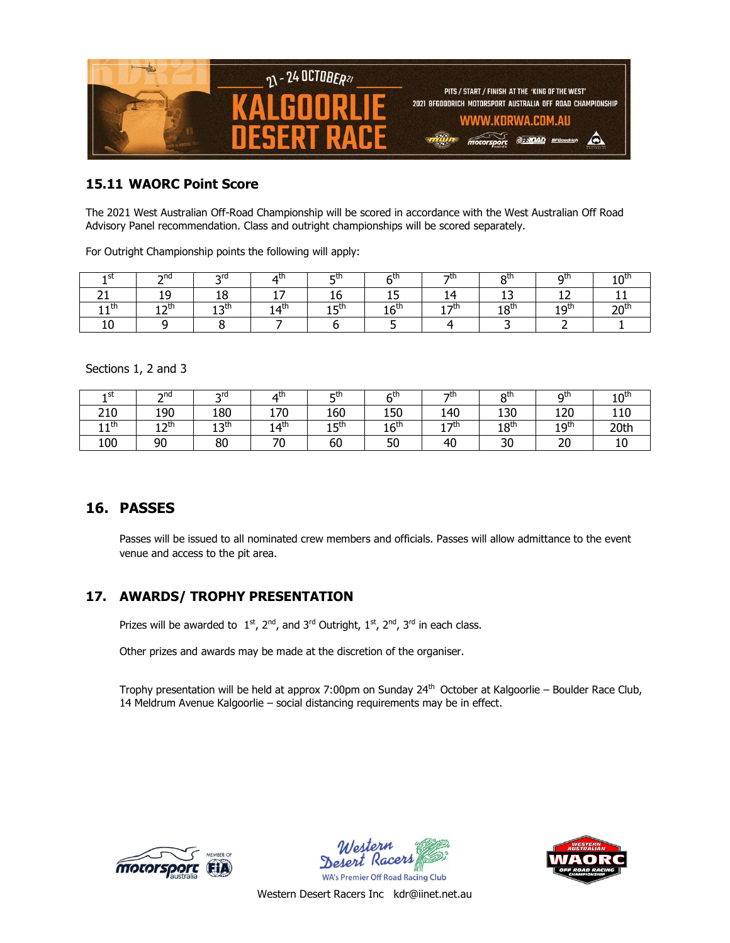

#### **15.11 WAORC Point Score**

The 2021 West Australian Off-Road Championship will be scored in accordance with the West Australian Off Road Advisory Panel recommendation. Class and outright championships will be scored separately.

For Outright Championship points the following will apply:

| 1 SL | ∩תר  | nrd                       |     | гū    | ⊆տ               | - th | otr        | ייים              | 10 <sup>tn</sup> |
|------|------|---------------------------|-----|-------|------------------|------|------------|-------------------|------------------|
|      |      | $\ddot{\phantom{1}}$<br>∸ |     | τv    | --               |      | --         | . .               |                  |
| ⊣th  | חזרי | ו oth<br>--               | ⊿th | 1 ⊏th | 16 <sup>th</sup> | ₹    | ⊧oth<br>ΤO | 1 Q <sup>th</sup> | ∼                |
|      |      |                           |     |       |                  |      |            |                   |                  |

Sections 1, 2 and 3

| 1 St         | ndר<br><u>.</u>         | ord.         | ⊿տ                      | ctr                    | ∠th              | っth           | otr              | Ω <sup>th</sup>  | 10 <sup>th</sup> |
|--------------|-------------------------|--------------|-------------------------|------------------------|------------------|---------------|------------------|------------------|------------------|
| 210          | 190                     | 180          | 170                     | 160                    | 150              | 140           | 130              | 120              | 110              |
| 1 1 th<br>ᆠᆂ | ่ 1 ว <sup>†</sup><br>ᅩ | ו oth<br>ر د | 14 <sup>th</sup><br>. . | 1 ⊑ <sup>th</sup><br>ᅩ | 16 <sup>th</sup> | 1 - th<br>. . | 18 <sup>th</sup> | 19 <sup>th</sup> | 20th             |
| 100          | 90                      | 80           | $\neg$<br>٠υ            | 60                     | 50               | 40            | 30               | 20               | τn               |

# **16. PASSES**

Passes will be issued to all nominated crew members and officials. Passes will allow admittance to the event venue and access to the pit area.

### **17. AWARDS/ TROPHY PRESENTATION**

Prizes will be awarded to  $1<sup>st</sup>$ ,  $2<sup>nd</sup>$ , and  $3<sup>rd</sup>$  Outright,  $1<sup>st</sup>$ ,  $2<sup>nd</sup>$ ,  $3<sup>rd</sup>$  in each class.

Other prizes and awards may be made at the discretion of the organiser.

Trophy presentation will be held at approx 7:00pm on Sunday 24<sup>th</sup> October at Kalgoorlie – Boulder Race Club, 14 Meldrum Avenue Kalgoorlie – social distancing requirements may be in effect.